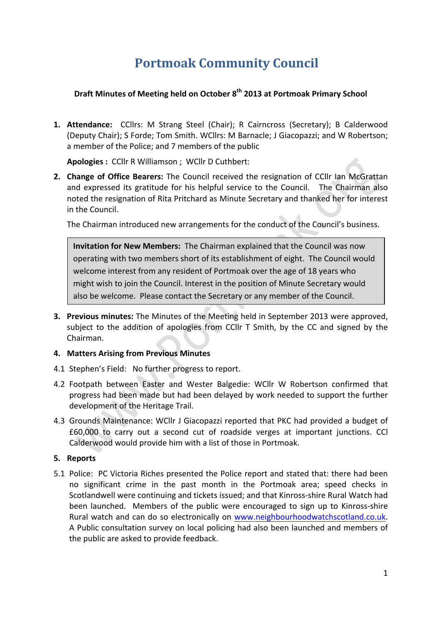# **Portmoak Community Council**

## **Draft Minutes of Meeting held on October 8<sup>th</sup> 2013 at Portmoak Primary School**

**1. Attendance:** CCllrs: M Strang Steel (Chair); R Cairncross (Secretary); B Calderwood (Deputy Chair); S Forde; Tom Smith. WCllrs: M Barnacle; J Giacopazzi; and W Robertson; a member of the Police; and 7 members of the public

Apologies : CCllr R Williamson ; WCllr D Cuthbert:

**2. Change of Office Bearers:** The Council received the resignation of CCllr Ian McGrattan and expressed its gratitude for his helpful service to the Council. The Chairman also noted the resignation of Rita Pritchard as Minute Secretary and thanked her for interest in the Council.

The Chairman introduced new arrangements for the conduct of the Council's business.

**Invitation for New Members:** The Chairman explained that the Council was now operating with two members short of its establishment of eight. The Council would welcome interest from any resident of Portmoak over the age of 18 years who might wish to join the Council. Interest in the position of Minute Secretary would also be welcome. Please contact the Secretary or any member of the Council.

**3. Previous minutes:** The Minutes of the Meeting held in September 2013 were approved, subject to the addition of apologies from CCllr T Smith, by the CC and signed by the Chairman. 

#### **4. Matters Arising from Previous Minutes**

- 4.1 Stephen's Field: No further progress to report.
- 4.2 Footpath between Easter and Wester Balgedie: WCllr W Robertson confirmed that progress had been made but had been delayed by work needed to support the further development of the Heritage Trail.
- 4.3 Grounds Maintenance: WCllr J Giacopazzi reported that PKC had provided a budget of £60,000 to carry out a second cut of roadside verges at important junctions. CCl Calderwood would provide him with a list of those in Portmoak.

#### **5. Reports**

5.1 Police: PC Victoria Riches presented the Police report and stated that: there had been no significant crime in the past month in the Portmoak area; speed checks in Scotlandwell were continuing and tickets issued; and that Kinross-shire Rural Watch had been launched. Members of the public were encouraged to sign up to Kinross-shire Rural watch and can do so electronically on www.neighbourhoodwatchscotland.co.uk. A Public consultation survey on local policing had also been launched and members of the public are asked to provide feedback.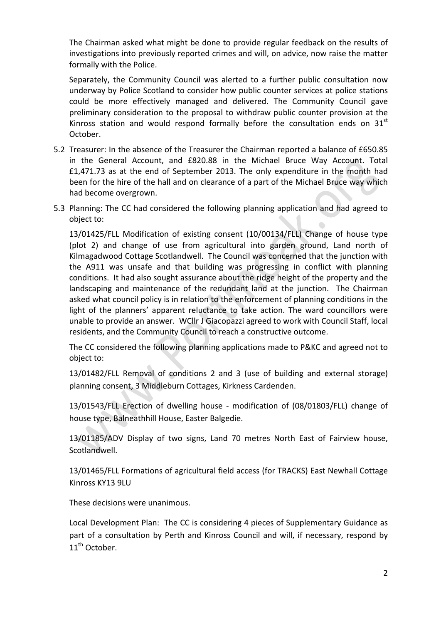The Chairman asked what might be done to provide regular feedback on the results of investigations into previously reported crimes and will, on advice, now raise the matter formally with the Police.

Separately, the Community Council was alerted to a further public consultation now underway by Police Scotland to consider how public counter services at police stations could be more effectively managed and delivered. The Community Council gave preliminary consideration to the proposal to withdraw public counter provision at the Kinross station and would respond formally before the consultation ends on  $31<sup>st</sup>$ October. 

- 5.2 Treasurer: In the absence of the Treasurer the Chairman reported a balance of £650.85 in the General Account, and £820.88 in the Michael Bruce Way Account. Total  $£1,471.73$  as at the end of September 2013. The only expenditure in the month had been for the hire of the hall and on clearance of a part of the Michael Bruce way which had become overgrown.
- 5.3 Planning: The CC had considered the following planning application and had agreed to object to:

13/01425/FLL Modification of existing consent (10/00134/FLL) Change of house type (plot 2) and change of use from agricultural into garden ground, Land north of Kilmagadwood Cottage Scotlandwell. The Council was concerned that the junction with the A911 was unsafe and that building was progressing in conflict with planning conditions. It had also sought assurance about the ridge height of the property and the landscaping and maintenance of the redundant land at the junction. The Chairman asked what council policy is in relation to the enforcement of planning conditions in the light of the planners' apparent reluctance to take action. The ward councillors were unable to provide an answer. WCllr J Giacopazzi agreed to work with Council Staff, local residents, and the Community Council to reach a constructive outcome.

The CC considered the following planning applications made to P&KC and agreed not to object to:

13/01482/FLL Removal of conditions 2 and 3 (use of building and external storage) planning consent, 3 Middleburn Cottages, Kirkness Cardenden.

13/01543/FLL Erection of dwelling house - modification of (08/01803/FLL) change of house type, Balneathhill House, Easter Balgedie.

13/01185/ADV Display of two signs, Land 70 metres North East of Fairview house, Scotlandwell.

13/01465/FLL Formations of agricultural field access (for TRACKS) East Newhall Cottage Kinross KY13 9LU

These decisions were unanimous.

Local Development Plan: The CC is considering 4 pieces of Supplementary Guidance as part of a consultation by Perth and Kinross Council and will, if necessary, respond by  $11^{\text{th}}$  October.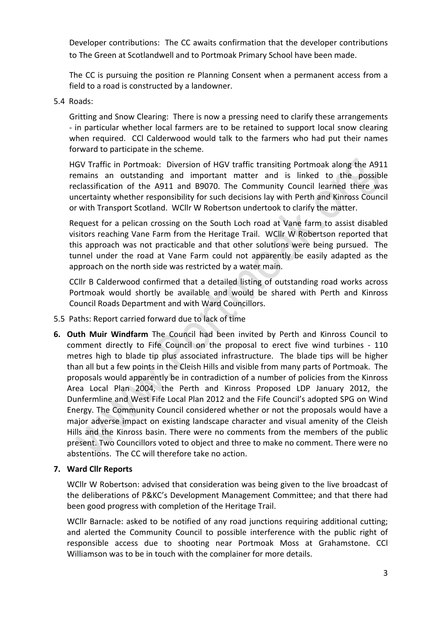Developer contributions: The CC awaits confirmation that the developer contributions to The Green at Scotlandwell and to Portmoak Primary School have been made.

The CC is pursuing the position re Planning Consent when a permanent access from a field to a road is constructed by a landowner.

5.4 Roads:

Gritting and Snow Clearing: There is now a pressing need to clarify these arrangements - in particular whether local farmers are to be retained to support local snow clearing when required. CCI Calderwood would talk to the farmers who had put their names forward to participate in the scheme.

HGV Traffic in Portmoak: Diversion of HGV traffic transiting Portmoak along the A911 remains an outstanding and important matter and is linked to the possible reclassification of the A911 and B9070. The Community Council learned there was uncertainty whether responsibility for such decisions lay with Perth and Kinross Council or with Transport Scotland. WCllr W Robertson undertook to clarify the matter.

Request for a pelican crossing on the South Loch road at Vane farm to assist disabled visitors reaching Vane Farm from the Heritage Trail. WCllr W Robertson reported that this approach was not practicable and that other solutions were being pursued. The tunnel under the road at Vane Farm could not apparently be easily adapted as the approach on the north side was restricted by a water main.

CCIIr B Calderwood confirmed that a detailed listing of outstanding road works across Portmoak would shortly be available and would be shared with Perth and Kinross Council Roads Department and with Ward Councillors.

- 5.5 Paths: Report carried forward due to lack of time
- **6. Outh Muir Windfarm** The Council had been invited by Perth and Kinross Council to comment directly to Fife Council on the proposal to erect five wind turbines - 110 metres high to blade tip plus associated infrastructure. The blade tips will be higher than all but a few points in the Cleish Hills and visible from many parts of Portmoak. The proposals would apparently be in contradiction of a number of policies from the Kinross Area Local Plan 2004, the Perth and Kinross Proposed LDP January 2012, the Dunfermline and West Fife Local Plan 2012 and the Fife Council's adopted SPG on Wind Energy. The Community Council considered whether or not the proposals would have a major adverse impact on existing landscape character and visual amenity of the Cleish Hills and the Kinross basin. There were no comments from the members of the public present. Two Councillors voted to object and three to make no comment. There were no abstentions. The CC will therefore take no action.

# **7. Ward Cllr Reports**

WCllr W Robertson: advised that consideration was being given to the live broadcast of the deliberations of P&KC's Development Management Committee; and that there had been good progress with completion of the Heritage Trail.

WCllr Barnacle: asked to be notified of any road junctions requiring additional cutting; and alerted the Community Council to possible interference with the public right of responsible access due to shooting near Portmoak Moss at Grahamstone. CCI Williamson was to be in touch with the complainer for more details.